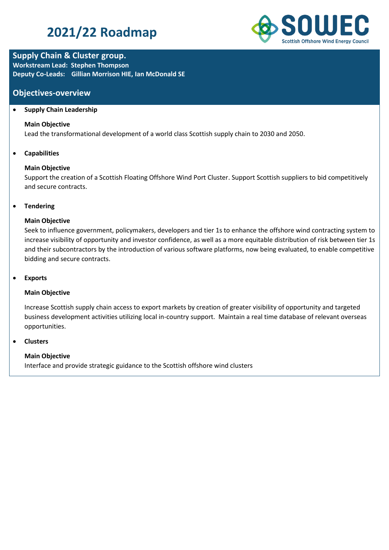

## **Supply Chain & Cluster group.**

**Workstream Lead: Stephen Thompson**

**Deputy Co-Leads: Gillian Morrison HIE, Ian McDonald SE**

## **Objectives-overview**

## • **Supply Chain Leadership**

## **Main Objective**

Lead the transformational development of a world class Scottish supply chain to 2030 and 2050.

## • **Capabilities**

## **Main Objective**

Support the creation of a Scottish Floating Offshore Wind Port Cluster. Support Scottish suppliers to bid competitively and secure contracts.

## • **Tendering**

## **Main Objective**

Seek to influence government, policymakers, developers and tier 1s to enhance the offshore wind contracting system to increase visibility of opportunity and investor confidence, as well as a more equitable distribution of risk between tier 1s and their subcontractors by the introduction of various software platforms, now being evaluated, to enable competitive bidding and secure contracts.

### • **Exports**

### **Main Objective**

Increase Scottish supply chain access to export markets by creation of greater visibility of opportunity and targeted business development activities utilizing local in-country support. Maintain a real time database of relevant overseas opportunities.

• **Clusters**

### **Main Objective**

Interface and provide strategic guidance to the Scottish offshore wind clusters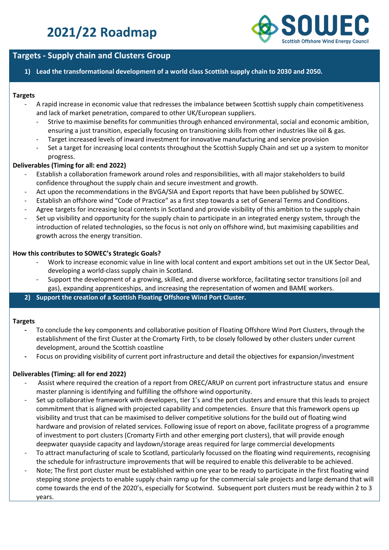

## **Targets - Supply chain and Clusters Group**

**1) Lead the transformational development of a world class Scottish supply chain to 2030 and 2050.**

## **Targets**

- A rapid increase in economic value that redresses the imbalance between Scottish supply chain competitiveness and lack of market penetration, compared to other UK/European suppliers.
	- Strive to maximise benefits for communities through enhanced environmental, social and economic ambition, ensuring a just transition, especially focusing on transitioning skills from other industries like oil & gas.
	- Target increased levels of inward investment for innovative manufacturing and service provision
	- Set a target for increasing local contents throughout the Scottish Supply Chain and set up a system to monitor progress.

## **Deliverables (Timing for all: end 2022)**

- Establish a collaboration framework around roles and responsibilities, with all major stakeholders to build confidence throughout the supply chain and secure investment and growth.
- Act upon the recommendations in the BVGA/SIA and Export reports that have been published by SOWEC.
- Establish an offshore wind "Code of Practice" as a first step towards a set of General Terms and Conditions.
- Agree targets for increasing local contents in Scotland and provide visibility of this ambition to the supply chain
- Set up visibility and opportunity for the supply chain to participate in an integrated energy system, through the introduction of related technologies, so the focus is not only on offshore wind, but maximising capabilities and growth across the energy transition.

### **How this contributes to SOWEC's Strategic Goals?**

- Work to increase economic value in line with local content and export ambitions set out in the UK Sector Deal, developing a world-class supply chain in Scotland.
- Support the development of a growing, skilled, and diverse workforce, facilitating sector transitions (oil and gas), expanding apprenticeships, and increasing the representation of women and BAME workers.
- **2) Support the creation of a Scottish Floating Offshore Wind Port Cluster.**

### **Targets**

- **-** To conclude the key components and collaborative position of Floating Offshore Wind Port Clusters, through the establishment of the first Cluster at the Cromarty Firth, to be closely followed by other clusters under current development, around the Scottish coastline
- **-** Focus on providing visibility of current port infrastructure and detail the objectives for expansion/investment

### **Deliverables (Timing: all for end 2022)**

- Assist where required the creation of a report from OREC/ARUP on current port infrastructure status and ensure master planning is identifying and fulfilling the offshore wind opportunity.
- Set up collaborative framework with developers, tier 1's and the port clusters and ensure that this leads to project commitment that is aligned with projected capability and competencies. Ensure that this framework opens up visibility and trust that can be maximised to deliver competitive solutions for the build out of floating wind hardware and provision of related services. Following issue of report on above, facilitate progress of a programme of investment to port clusters (Cromarty Firth and other emerging port clusters), that will provide enough deepwater quayside capacity and laydown/storage areas required for large commercial developments
- To attract manufacturing of scale to Scotland, particularly focussed on the floating wind requirements, recognising the schedule for infrastructure improvements that will be required to enable this deliverable to be achieved.
- Note; The first port cluster must be established within one year to be ready to participate in the first floating wind stepping stone projects to enable supply chain ramp up for the commercial sale projects and large demand that will come towards the end of the 2020's, especially for Scotwind. Subsequent port clusters must be ready within 2 to 3 years.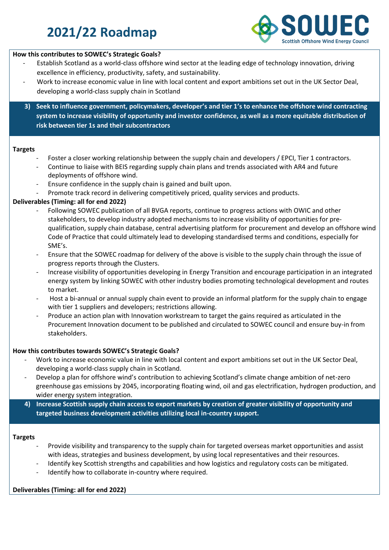

## **How this contributes to SOWEC's Strategic Goals?**

- Establish Scotland as a world-class offshore wind sector at the leading edge of technology innovation, driving excellence in efficiency, productivity, safety, and sustainability.
- Work to increase economic value in line with local content and export ambitions set out in the UK Sector Deal, developing a world-class supply chain in Scotland
- **3) Seek to influence government, policymakers, developer's and tier 1's to enhance the offshore wind contracting system to increase visibility of opportunity and investor confidence, as well as a more equitable distribution of risk between tier 1s and their subcontractors**

#### **Targets**

- Foster a closer working relationship between the supply chain and developers / EPCI, Tier 1 contractors.
- Continue to liaise with BEIS regarding supply chain plans and trends associated with AR4 and future deployments of offshore wind.
- Ensure confidence in the supply chain is gained and built upon.
- Promote track record in delivering competitively priced, quality services and products.

## **Deliverables (Timing: all for end 2022)**

- Following SOWEC publication of all BVGA reports, continue to progress actions with OWIC and other stakeholders, to develop industry adopted mechanisms to increase visibility of opportunities for prequalification, supply chain database, central advertising platform for procurement and develop an offshore wind Code of Practice that could ultimately lead to developing standardised terms and conditions, especially for SME's.
- Ensure that the SOWEC roadmap for delivery of the above is visible to the supply chain through the issue of progress reports through the Clusters.
- Increase visibility of opportunities developing in Energy Transition and encourage participation in an integrated energy system by linking SOWEC with other industry bodies promoting technological development and routes to market.
- Host a bi-annual or annual supply chain event to provide an informal platform for the supply chain to engage with tier 1 suppliers and developers; restrictions allowing.
- Produce an action plan with Innovation workstream to target the gains required as articulated in the Procurement Innovation document to be published and circulated to SOWEC council and ensure buy-in from stakeholders.

### **How this contributes towards SOWEC's Strategic Goals?**

- Work to increase economic value in line with local content and export ambitions set out in the UK Sector Deal, developing a world-class supply chain in Scotland.
- Develop a plan for offshore wind's contribution to achieving Scotland's climate change ambition of net-zero greenhouse gas emissions by 2045, incorporating floating wind, oil and gas electrification, hydrogen production, and wider energy system integration.
- **4) Increase Scottish supply chain access to export markets by creation of greater visibility of opportunity and targeted business development activities utilizing local in-country support.**

### **Targets**

- Provide visibility and transparency to the supply chain for targeted overseas market opportunities and assist with ideas, strategies and business development, by using local representatives and their resources.
- Identify key Scottish strengths and capabilities and how logistics and regulatory costs can be mitigated.
- Identify how to collaborate in-country where required.

### **Deliverables (Timing: all for end 2022)**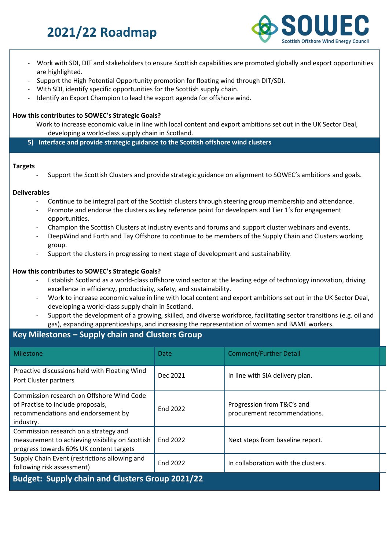

- Work with SDI, DIT and stakeholders to ensure Scottish capabilities are promoted globally and export opportunities are highlighted.
- Support the High Potential Opportunity promotion for floating wind through DIT/SDI.
- With SDI, identify specific opportunities for the Scottish supply chain.
- Identify an Export Champion to lead the export agenda for offshore wind.

## **How this contributes to SOWEC's Strategic Goals?**

Work to increase economic value in line with local content and export ambitions set out in the UK Sector Deal, developing a world-class supply chain in Scotland.

 **5) Interface and provide strategic guidance to the Scottish offshore wind clusters** 

#### **Targets**

Support the Scottish Clusters and provide strategic guidance on alignment to SOWEC's ambitions and goals.

### **Deliverables**

- Continue to be integral part of the Scottish clusters through steering group membership and attendance.
- Promote and endorse the clusters as key reference point for developers and Tier 1's for engagement opportunities.
- Champion the Scottish Clusters at industry events and forums and support cluster webinars and events.
- DeepWind and Forth and Tay Offshore to continue to be members of the Supply Chain and Clusters working group.
- Support the clusters in progressing to next stage of development and sustainability.

## **How this contributes to SOWEC's Strategic Goals?**

- Establish Scotland as a world-class offshore wind sector at the leading edge of technology innovation, driving excellence in efficiency, productivity, safety, and sustainability.
- Work to increase economic value in line with local content and export ambitions set out in the UK Sector Deal, developing a world-class supply chain in Scotland.
- Support the development of a growing, skilled, and diverse workforce, facilitating sector transitions (e.g. oil and gas), expanding apprenticeships, and increasing the representation of women and BAME workers.

## **Key Milestones – Supply chain and Clusters Group***.*

| Milestone                                                                                                                           | <b>Date</b> | <b>Comment/Further Detail</b>                              |
|-------------------------------------------------------------------------------------------------------------------------------------|-------------|------------------------------------------------------------|
| Proactive discussions held with Floating Wind<br>Port Cluster partners                                                              | Dec 2021    | In line with SIA delivery plan.                            |
| Commission research on Offshore Wind Code<br>of Practise to include proposals,<br>recommendations and endorsement by<br>industry.   | End 2022    | Progression from T&C's and<br>procurement recommendations. |
| Commission research on a strategy and<br>measurement to achieving visibility on Scottish<br>progress towards 60% UK content targets | End 2022    | Next steps from baseline report.                           |
| Supply Chain Event (restrictions allowing and<br>following risk assessment)                                                         | End 2022    | In collaboration with the clusters.                        |
| <b>Budget: Supply chain and Clusters Group 2021/22</b>                                                                              |             |                                                            |